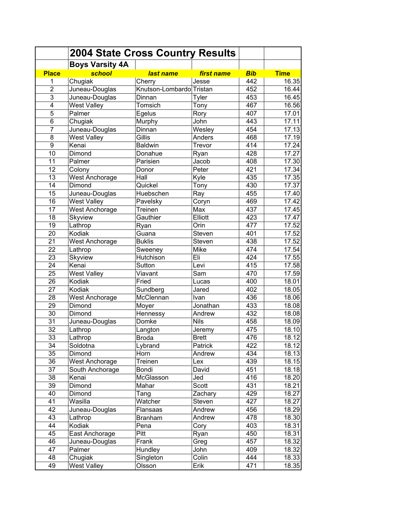|                | <b>2004 State Cross Country Results</b><br><b>Boys Varsity 4A</b> |                          |             |            |             |
|----------------|-------------------------------------------------------------------|--------------------------|-------------|------------|-------------|
| <b>Place</b>   | school                                                            | last name                | first name  | <b>Bib</b> | <b>Time</b> |
| 1              | Chugiak                                                           | Cherry                   | Jesse       | 442        | 16.35       |
| $\overline{2}$ | Juneau-Douglas                                                    | Knutson-Lombardo Tristan |             | 452        | 16.44       |
| 3              |                                                                   |                          |             | 453        |             |
|                | Juneau-Douglas                                                    | Dinnan                   | Tyler       |            | 16.45       |
| 4              | <b>West Valley</b>                                                | Tomsich                  | Tony        | 467        | 16.56       |
| 5              | Palmer                                                            | Egelus                   | Rory        | 407        | 17.01       |
| 6              | Chugiak                                                           | Murphy                   | John        | 443        | 17.11       |
| $\overline{7}$ | Juneau-Douglas                                                    | Dinnan                   | Wesley      | 454        | 17.13       |
| 8              | <b>West Valley</b>                                                | Gillis                   | Anders      | 468        | 17.19       |
| 9              | Kenai                                                             | <b>Baldwin</b>           | Trevor      | 414        | 17.24       |
| 10             | Dimond                                                            | Donahue                  | Ryan        | 428        | 17.27       |
| 11             | Palmer                                                            | Parisien                 | Jacob       | 408        | 17.30       |
| 12             | Colony                                                            | Donor                    | Peter       | 421        | 17.34       |
| 13             | <b>West Anchorage</b>                                             | Hall                     | Kyle        | 435        | 17.35       |
| 14             | Dimond                                                            | Quickel                  | Tony        | 430        | 17.37       |
| 15             | Juneau-Douglas                                                    | Huebschen                | Ray         | 455        | 17.40       |
| 16             | <b>West Valley</b>                                                | Pavelsky                 | Coryn       | 469        | 17.42       |
| 17             | <b>West Anchorage</b>                                             | Treinen                  | Max         | 437        | 17.45       |
| 18             | <b>Skyview</b>                                                    | Gauthier                 | Elliott     | 423        | 17.47       |
| 19             | Lathrop                                                           | Ryan                     | Orin        | 477        | 17.52       |
| 20             | Kodiak                                                            | Guana                    | Steven      | 401        | 17.52       |
| 21             | West Anchorage                                                    | <b>Buklis</b>            | Steven      | 438        | 17.52       |
| 22             | Lathrop                                                           | Sweeney                  | Mike        | 474        | 17.54       |
| 23             | Skyview                                                           | Hutchison                | Eli         | 424        | 17.55       |
| 24             | Kenai                                                             | Sutton                   | Levi        | 415        | 17.58       |
| 25             | <b>West Valley</b>                                                | Viavant                  | Sam         | 470        | 17.59       |
| 26             | Kodiak                                                            | Fried                    | Lucas       | 400        | 18.01       |
| 27             | Kodiak                                                            | Sundberg                 | Jared       | 402        | 18.05       |
| 28             | West Anchorage                                                    | McClennan                | Ivan        | 436        | 18.06       |
| 29             | Dimond                                                            | Moyer                    | Jonathan    | 433        | 18.08       |
| 30             | Dimond                                                            | Hennessy                 | Andrew      | 432        | 18.08       |
| 31             | Juneau-Douglas                                                    | Domke                    | <b>Nils</b> | 458        | 18.09       |
| 32             | Lathrop                                                           | Langton                  | Jeremy      | 475        | 18.10       |
| 33             | Lathrop                                                           | <b>Broda</b>             | Brett       | 476        | 18.12       |
| 34             | Soldotna                                                          | Lybrand                  | Patrick     | 422        | 18.12       |
| 35             | Dimond                                                            | Horn                     | Andrew      | 434        | 18.13       |
| 36             | <b>West Anchorage</b>                                             | Treinen                  | Lex         | 439        | 18.15       |
| 37             | South Anchorage                                                   | Bondi                    | David       | 451        | 18.18       |
| 38             | Kenai                                                             | McGlasson                | Jed         | 416        | 18.20       |
| 39             | Dimond                                                            | Mahar                    | Scott       | 431        | 18.21       |
| 40             | Dimond                                                            |                          |             | 429        | 18.27       |
|                |                                                                   | Tang                     | Zachary     |            |             |
| 41             | Wasilla                                                           | Watcher                  | Steven      | 427        | 18.27       |
| 42             | Juneau-Douglas                                                    | Flansaas                 | Andrew      | 456        | 18.29       |
| 43             | Lathrop                                                           | <b>Branham</b>           | Andrew      | 478        | 18.30       |
| 44             | Kodiak                                                            | Pena                     | Cory        | 403        | 18.31       |
| 45             | East Anchorage                                                    | Pitt                     | Ryan        | 450        | 18.31       |
| 46             | Juneau-Douglas                                                    | Frank                    | Greg        | 457        | 18.32       |
| 47             | Palmer                                                            | Hundley                  | John        | 409        | 18.32       |
| 48             | Chugiak                                                           | Singleton                | Colin       | 444        | 18.33       |
| 49             | <b>West Valley</b>                                                | Olsson                   | Erik        | 471        | 18.35       |